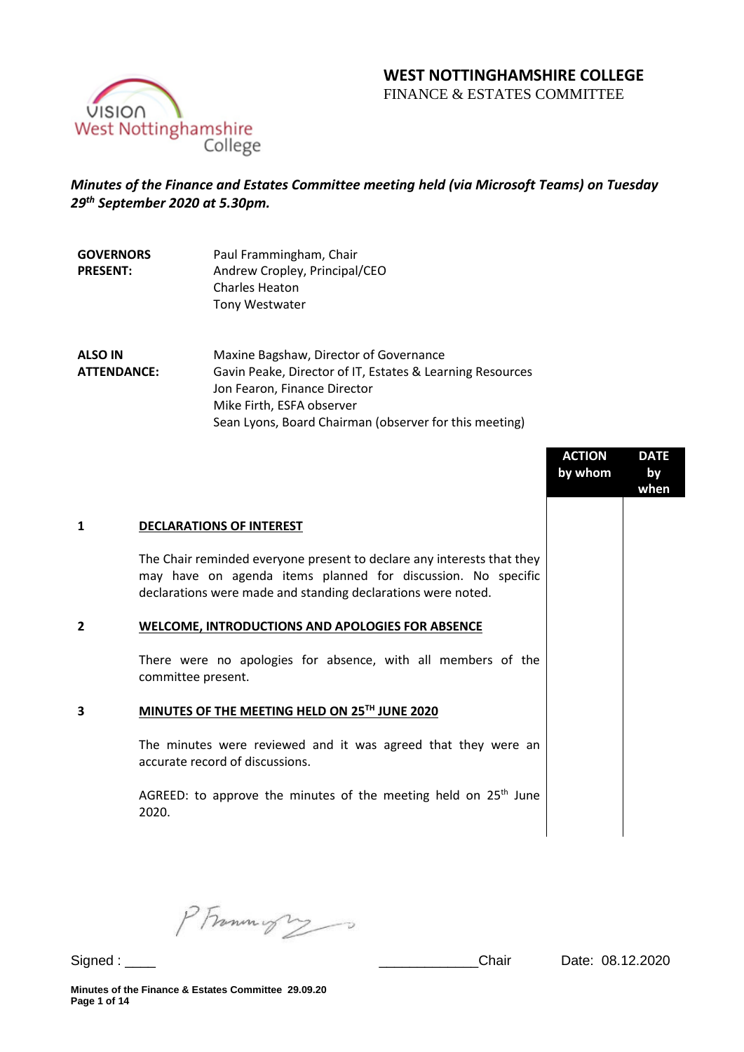# **WEST NOTTINGHAMSHIRE COLLEGE**

FINANCE & ESTATES COMMITTEE



## *Minutes of the Finance and Estates Committee meeting held (via Microsoft Teams) on Tuesday 29 th September 2020 at 5.30pm.*

| <b>GOVERNORS</b> | Paul Frammingham, Chair       |
|------------------|-------------------------------|
| <b>PRESENT:</b>  | Andrew Cropley, Principal/CEO |
|                  | <b>Charles Heaton</b>         |
|                  | <b>Tony Westwater</b>         |
|                  |                               |

**ALSO IN ATTENDANCE:** Maxine Bagshaw, Director of Governance Gavin Peake, Director of IT, Estates & Learning Resources Jon Fearon, Finance Director Mike Firth, ESFA observer Sean Lyons, Board Chairman (observer for this meeting)

|                |                                                                                                                                                                                                        | <b>ACTION</b><br>by whom | <b>DATE</b><br>by<br>when |
|----------------|--------------------------------------------------------------------------------------------------------------------------------------------------------------------------------------------------------|--------------------------|---------------------------|
| 1              | <b>DECLARATIONS OF INTEREST</b>                                                                                                                                                                        |                          |                           |
|                | The Chair reminded everyone present to declare any interests that they<br>may have on agenda items planned for discussion. No specific<br>declarations were made and standing declarations were noted. |                          |                           |
| $\overline{2}$ | <b>WELCOME, INTRODUCTIONS AND APOLOGIES FOR ABSENCE</b>                                                                                                                                                |                          |                           |
|                | There were no apologies for absence, with all members of the<br>committee present.                                                                                                                     |                          |                           |
| 3              | MINUTES OF THE MEETING HELD ON 25TH JUNE 2020                                                                                                                                                          |                          |                           |
|                | The minutes were reviewed and it was agreed that they were an<br>accurate record of discussions.                                                                                                       |                          |                           |
|                | AGREED: to approve the minutes of the meeting held on 25 <sup>th</sup> June<br>2020.                                                                                                                   |                          |                           |
|                |                                                                                                                                                                                                        |                          |                           |

PFrommigry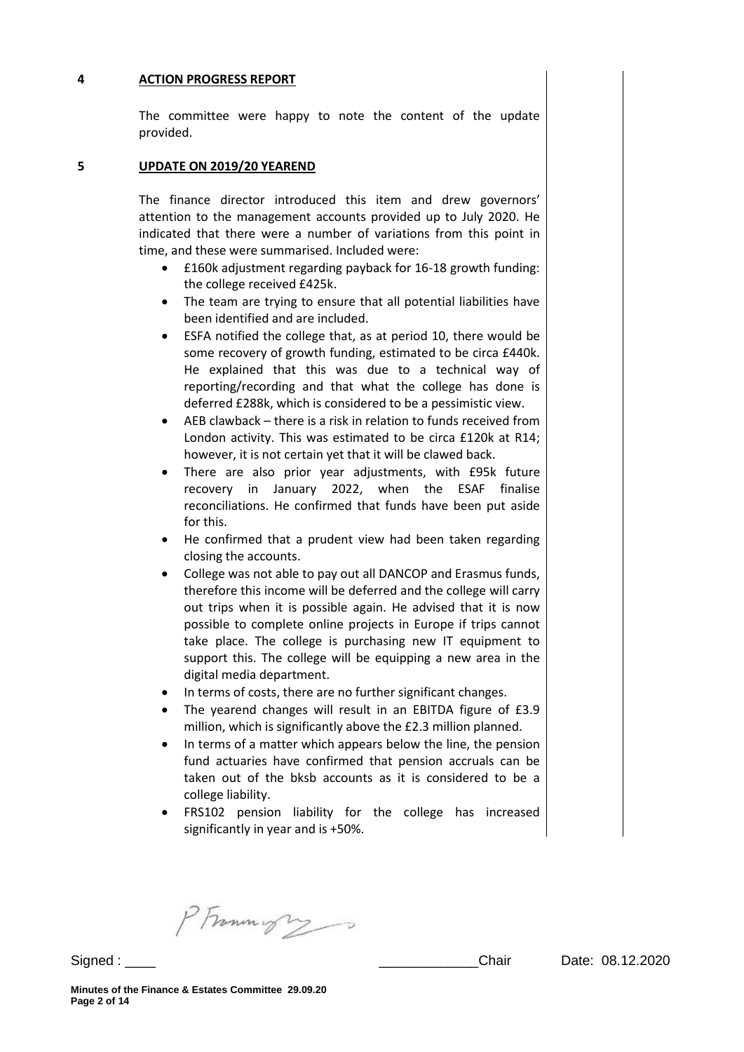#### **4 ACTION PROGRESS REPORT**

The committee were happy to note the content of the update provided.

#### **5 UPDATE ON 2019/20 YEAREND**

The finance director introduced this item and drew governors' attention to the management accounts provided up to July 2020. He indicated that there were a number of variations from this point in time, and these were summarised. Included were:

- £160k adjustment regarding payback for 16-18 growth funding: the college received £425k.
- The team are trying to ensure that all potential liabilities have been identified and are included.
- ESFA notified the college that, as at period 10, there would be some recovery of growth funding, estimated to be circa £440k. He explained that this was due to a technical way of reporting/recording and that what the college has done is deferred £288k, which is considered to be a pessimistic view.
- AEB clawback there is a risk in relation to funds received from London activity. This was estimated to be circa £120k at R14; however, it is not certain yet that it will be clawed back.
- There are also prior year adjustments, with £95k future recovery in January 2022, when the ESAF finalise reconciliations. He confirmed that funds have been put aside for this.
- He confirmed that a prudent view had been taken regarding closing the accounts.
- College was not able to pay out all DANCOP and Erasmus funds, therefore this income will be deferred and the college will carry out trips when it is possible again. He advised that it is now possible to complete online projects in Europe if trips cannot take place. The college is purchasing new IT equipment to support this. The college will be equipping a new area in the digital media department.
- In terms of costs, there are no further significant changes.
- The yearend changes will result in an EBITDA figure of £3.9 million, which is significantly above the £2.3 million planned.
- In terms of a matter which appears below the line, the pension fund actuaries have confirmed that pension accruals can be taken out of the bksb accounts as it is considered to be a college liability.
- FRS102 pension liability for the college has increased significantly in year and is +50%.

PFrammight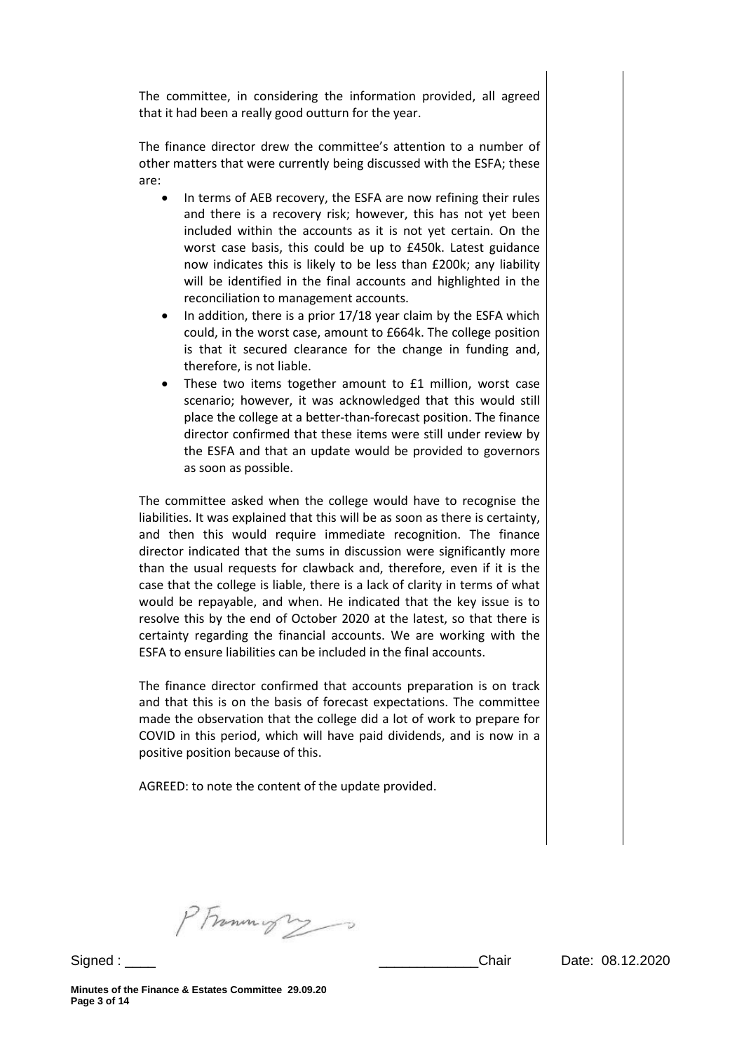The committee, in considering the information provided, all agreed that it had been a really good outturn for the year.

The finance director drew the committee's attention to a number of other matters that were currently being discussed with the ESFA; these are:

- In terms of AEB recovery, the ESFA are now refining their rules and there is a recovery risk; however, this has not yet been included within the accounts as it is not yet certain. On the worst case basis, this could be up to £450k. Latest guidance now indicates this is likely to be less than £200k; any liability will be identified in the final accounts and highlighted in the reconciliation to management accounts.
- In addition, there is a prior 17/18 year claim by the ESFA which could, in the worst case, amount to £664k. The college position is that it secured clearance for the change in funding and, therefore, is not liable.
- These two items together amount to £1 million, worst case scenario; however, it was acknowledged that this would still place the college at a better-than-forecast position. The finance director confirmed that these items were still under review by the ESFA and that an update would be provided to governors as soon as possible.

The committee asked when the college would have to recognise the liabilities. It was explained that this will be as soon as there is certainty, and then this would require immediate recognition. The finance director indicated that the sums in discussion were significantly more than the usual requests for clawback and, therefore, even if it is the case that the college is liable, there is a lack of clarity in terms of what would be repayable, and when. He indicated that the key issue is to resolve this by the end of October 2020 at the latest, so that there is certainty regarding the financial accounts. We are working with the ESFA to ensure liabilities can be included in the final accounts.

The finance director confirmed that accounts preparation is on track and that this is on the basis of forecast expectations. The committee made the observation that the college did a lot of work to prepare for COVID in this period, which will have paid dividends, and is now in a positive position because of this.

AGREED: to note the content of the update provided.

PFrommigry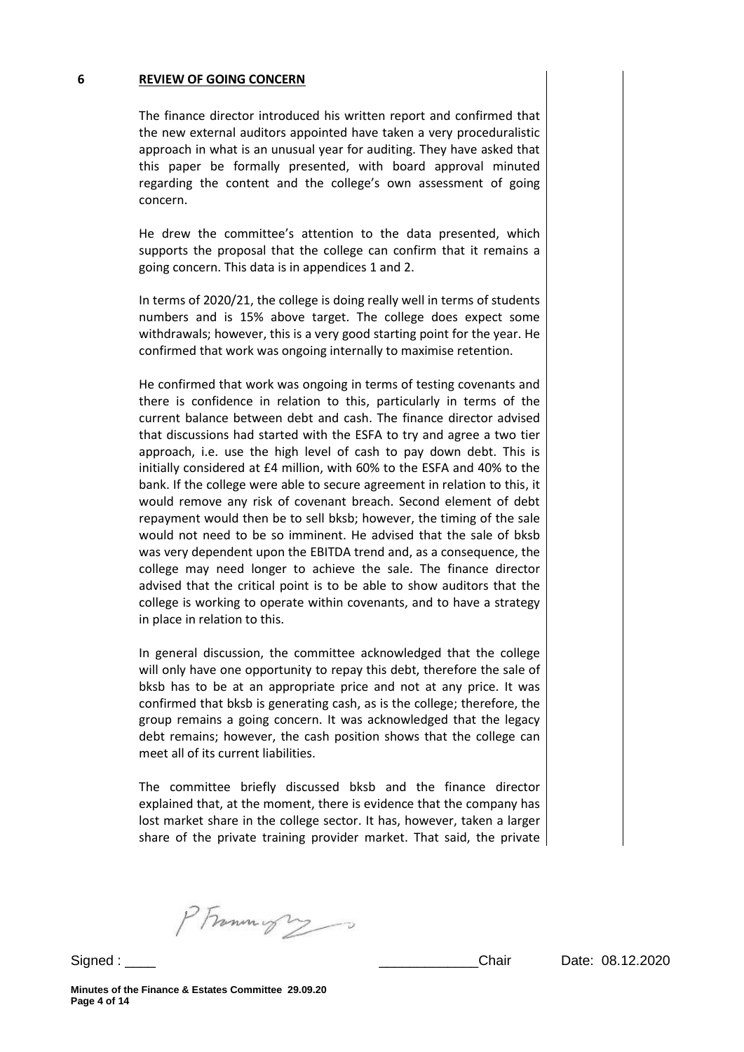#### **6 REVIEW OF GOING CONCERN**

The finance director introduced his written report and confirmed that the new external auditors appointed have taken a very proceduralistic approach in what is an unusual year for auditing. They have asked that this paper be formally presented, with board approval minuted regarding the content and the college's own assessment of going concern.

He drew the committee's attention to the data presented, which supports the proposal that the college can confirm that it remains a going concern. This data is in appendices 1 and 2.

In terms of 2020/21, the college is doing really well in terms of students numbers and is 15% above target. The college does expect some withdrawals; however, this is a very good starting point for the year. He confirmed that work was ongoing internally to maximise retention.

He confirmed that work was ongoing in terms of testing covenants and there is confidence in relation to this, particularly in terms of the current balance between debt and cash. The finance director advised that discussions had started with the ESFA to try and agree a two tier approach, i.e. use the high level of cash to pay down debt. This is initially considered at £4 million, with 60% to the ESFA and 40% to the bank. If the college were able to secure agreement in relation to this, it would remove any risk of covenant breach. Second element of debt repayment would then be to sell bksb; however, the timing of the sale would not need to be so imminent. He advised that the sale of bksb was very dependent upon the EBITDA trend and, as a consequence, the college may need longer to achieve the sale. The finance director advised that the critical point is to be able to show auditors that the college is working to operate within covenants, and to have a strategy in place in relation to this.

In general discussion, the committee acknowledged that the college will only have one opportunity to repay this debt, therefore the sale of bksb has to be at an appropriate price and not at any price. It was confirmed that bksb is generating cash, as is the college; therefore, the group remains a going concern. It was acknowledged that the legacy debt remains; however, the cash position shows that the college can meet all of its current liabilities.

The committee briefly discussed bksb and the finance director explained that, at the moment, there is evidence that the company has lost market share in the college sector. It has, however, taken a larger share of the private training provider market. That said, the private

PFrammight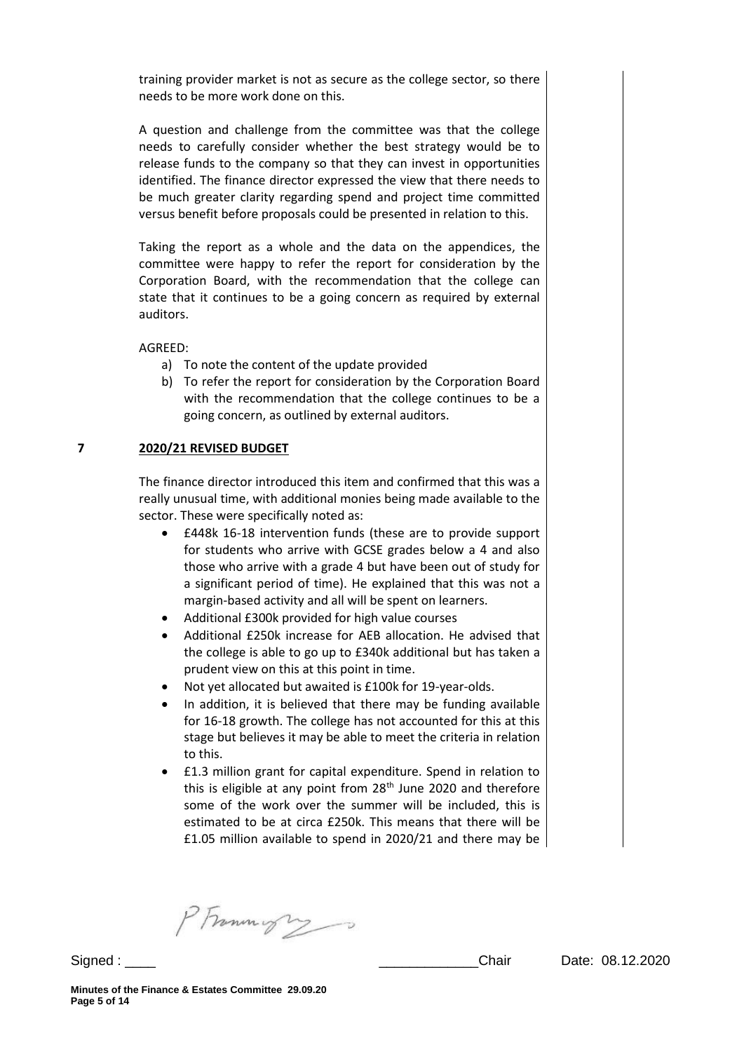training provider market is not as secure as the college sector, so there needs to be more work done on this.

A question and challenge from the committee was that the college needs to carefully consider whether the best strategy would be to release funds to the company so that they can invest in opportunities identified. The finance director expressed the view that there needs to be much greater clarity regarding spend and project time committed versus benefit before proposals could be presented in relation to this.

Taking the report as a whole and the data on the appendices, the committee were happy to refer the report for consideration by the Corporation Board, with the recommendation that the college can state that it continues to be a going concern as required by external auditors.

AGREED:

- a) To note the content of the update provided
- b) To refer the report for consideration by the Corporation Board with the recommendation that the college continues to be a going concern, as outlined by external auditors.

#### **7 2020/21 REVISED BUDGET**

The finance director introduced this item and confirmed that this was a really unusual time, with additional monies being made available to the sector. These were specifically noted as:

- £448k 16-18 intervention funds (these are to provide support for students who arrive with GCSE grades below a 4 and also those who arrive with a grade 4 but have been out of study for a significant period of time). He explained that this was not a margin-based activity and all will be spent on learners.
- Additional £300k provided for high value courses
- Additional £250k increase for AEB allocation. He advised that the college is able to go up to £340k additional but has taken a prudent view on this at this point in time.
- Not yet allocated but awaited is £100k for 19-year-olds.
- In addition, it is believed that there may be funding available for 16-18 growth. The college has not accounted for this at this stage but believes it may be able to meet the criteria in relation to this.
- £1.3 million grant for capital expenditure. Spend in relation to this is eligible at any point from  $28<sup>th</sup>$  June 2020 and therefore some of the work over the summer will be included, this is estimated to be at circa £250k. This means that there will be £1.05 million available to spend in 2020/21 and there may be

PFrammight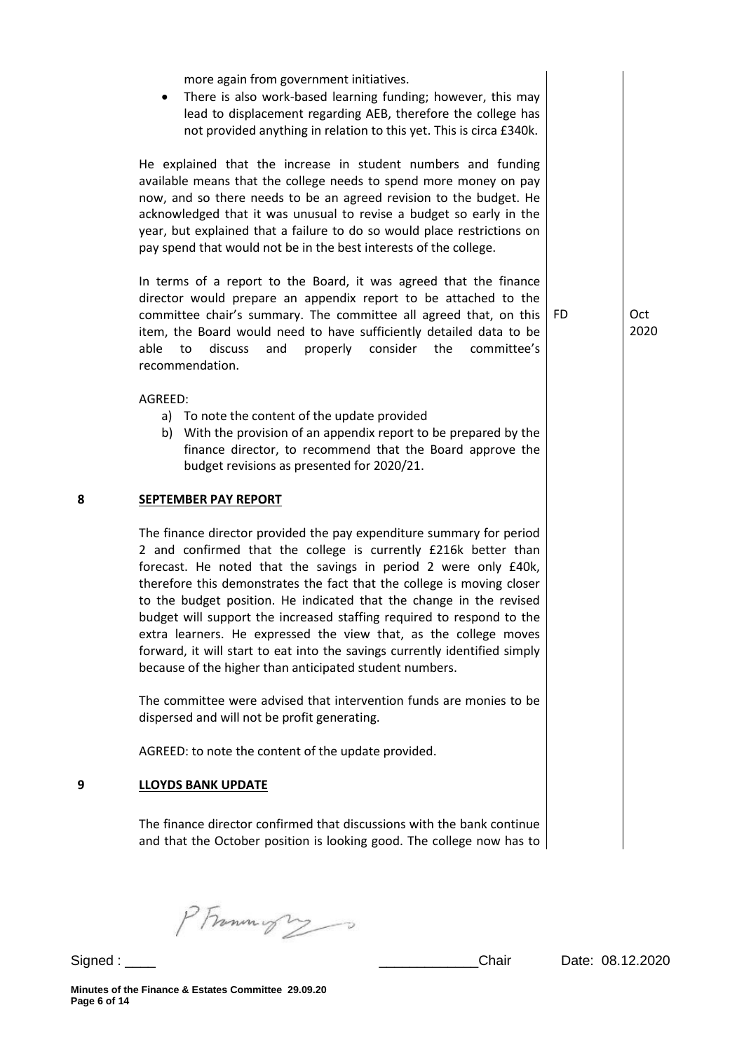more again from government initiatives. • There is also work-based learning funding; however, this may lead to displacement regarding AEB, therefore the college has not provided anything in relation to this yet. This is circa £340k. He explained that the increase in student numbers and funding available means that the college needs to spend more money on pay now, and so there needs to be an agreed revision to the budget. He acknowledged that it was unusual to revise a budget so early in the year, but explained that a failure to do so would place restrictions on pay spend that would not be in the best interests of the college. In terms of a report to the Board, it was agreed that the finance director would prepare an appendix report to be attached to the committee chair's summary. The committee all agreed that, on this item, the Board would need to have sufficiently detailed data to be able to discuss and properly consider the committee's recommendation. AGREED: a) To note the content of the update provided b) With the provision of an appendix report to be prepared by the finance director, to recommend that the Board approve the budget revisions as presented for 2020/21. FD Oct 2020 **8 SEPTEMBER PAY REPORT**  The finance director provided the pay expenditure summary for period 2 and confirmed that the college is currently £216k better than forecast. He noted that the savings in period 2 were only £40k, therefore this demonstrates the fact that the college is moving closer to the budget position. He indicated that the change in the revised budget will support the increased staffing required to respond to the extra learners. He expressed the view that, as the college moves forward, it will start to eat into the savings currently identified simply because of the higher than anticipated student numbers. The committee were advised that intervention funds are monies to be dispersed and will not be profit generating. AGREED: to note the content of the update provided. **9 LLOYDS BANK UPDATE**  The finance director confirmed that discussions with the bank continue and that the October position is looking good. The college now has to

PFrommigry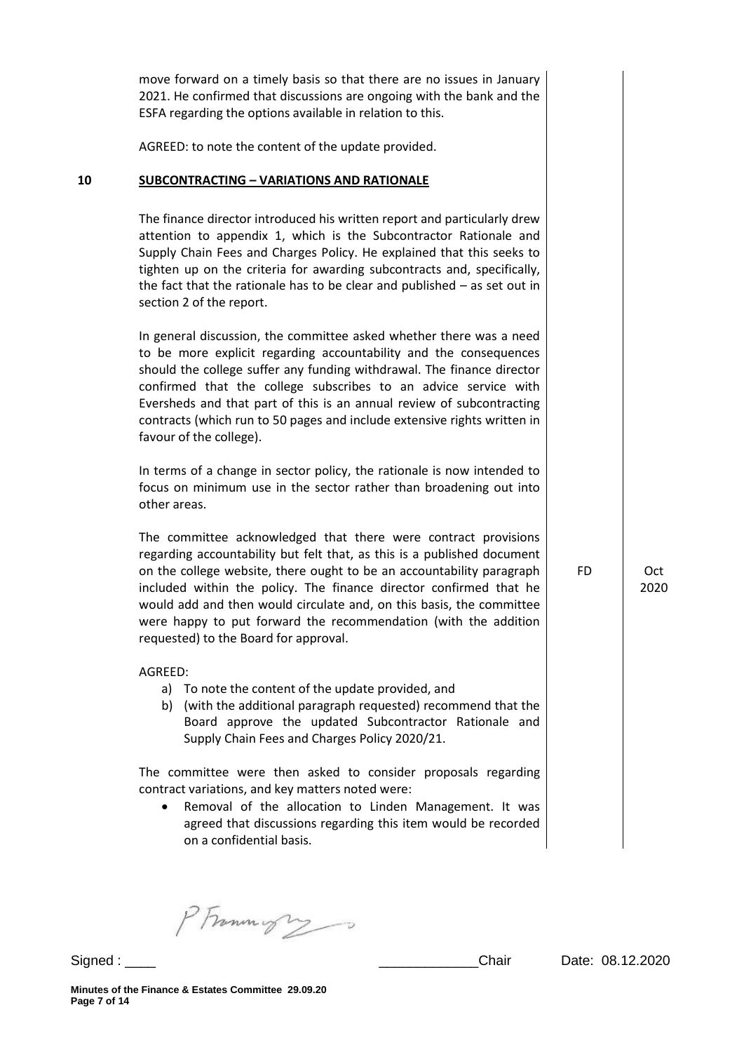|    | move forward on a timely basis so that there are no issues in January<br>2021. He confirmed that discussions are ongoing with the bank and the<br>ESFA regarding the options available in relation to this.                                                                                                                                                                                                                                                                  |           |             |
|----|------------------------------------------------------------------------------------------------------------------------------------------------------------------------------------------------------------------------------------------------------------------------------------------------------------------------------------------------------------------------------------------------------------------------------------------------------------------------------|-----------|-------------|
|    | AGREED: to note the content of the update provided.                                                                                                                                                                                                                                                                                                                                                                                                                          |           |             |
| 10 | <b>SUBCONTRACTING - VARIATIONS AND RATIONALE</b>                                                                                                                                                                                                                                                                                                                                                                                                                             |           |             |
|    | The finance director introduced his written report and particularly drew<br>attention to appendix 1, which is the Subcontractor Rationale and<br>Supply Chain Fees and Charges Policy. He explained that this seeks to<br>tighten up on the criteria for awarding subcontracts and, specifically,<br>the fact that the rationale has to be clear and published $-$ as set out in<br>section 2 of the report.                                                                 |           |             |
|    | In general discussion, the committee asked whether there was a need<br>to be more explicit regarding accountability and the consequences<br>should the college suffer any funding withdrawal. The finance director<br>confirmed that the college subscribes to an advice service with<br>Eversheds and that part of this is an annual review of subcontracting<br>contracts (which run to 50 pages and include extensive rights written in<br>favour of the college).        |           |             |
|    | In terms of a change in sector policy, the rationale is now intended to<br>focus on minimum use in the sector rather than broadening out into<br>other areas.                                                                                                                                                                                                                                                                                                                |           |             |
|    | The committee acknowledged that there were contract provisions<br>regarding accountability but felt that, as this is a published document<br>on the college website, there ought to be an accountability paragraph<br>included within the policy. The finance director confirmed that he<br>would add and then would circulate and, on this basis, the committee<br>were happy to put forward the recommendation (with the addition<br>requested) to the Board for approval. | <b>FD</b> | Oct<br>2020 |
|    | AGREED:<br>a) To note the content of the update provided, and<br>b) (with the additional paragraph requested) recommend that the<br>Board approve the updated Subcontractor Rationale and<br>Supply Chain Fees and Charges Policy 2020/21.                                                                                                                                                                                                                                   |           |             |
|    | The committee were then asked to consider proposals regarding<br>contract variations, and key matters noted were:                                                                                                                                                                                                                                                                                                                                                            |           |             |

 Removal of the allocation to Linden Management. It was agreed that discussions regarding this item would be recorded on a confidential basis.

PFrommigry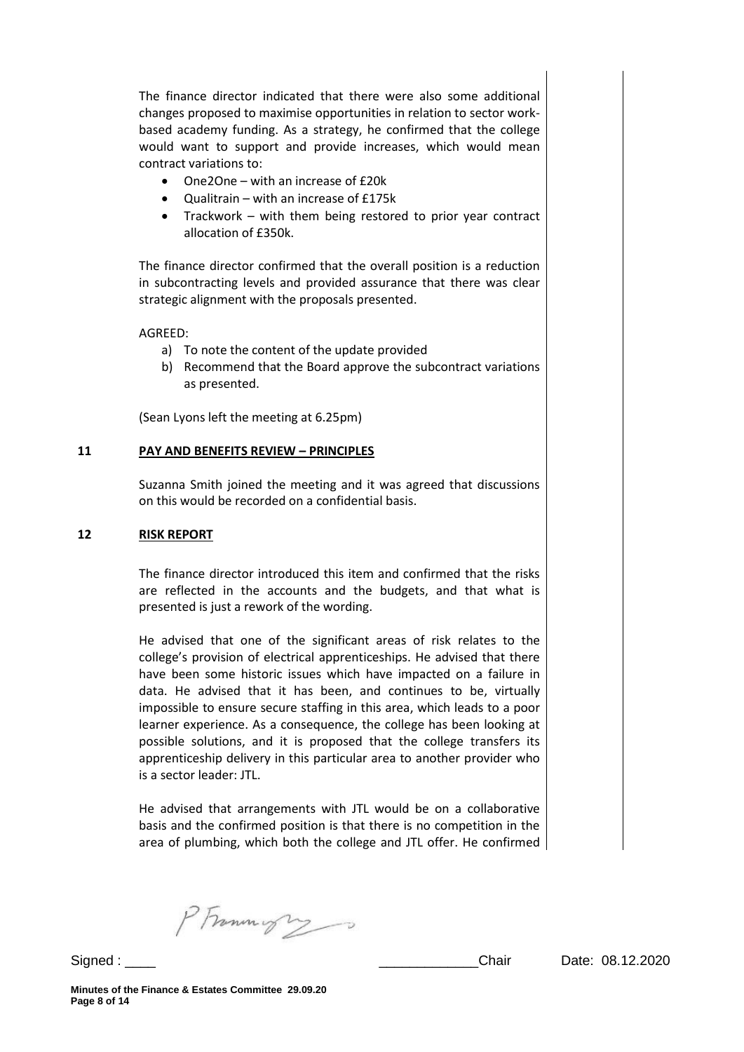The finance director indicated that there were also some additional changes proposed to maximise opportunities in relation to sector workbased academy funding. As a strategy, he confirmed that the college would want to support and provide increases, which would mean contract variations to:

- One2One with an increase of £20k
- Qualitrain with an increase of £175k
- Trackwork with them being restored to prior year contract allocation of £350k.

The finance director confirmed that the overall position is a reduction in subcontracting levels and provided assurance that there was clear strategic alignment with the proposals presented.

AGREED:

- a) To note the content of the update provided
- b) Recommend that the Board approve the subcontract variations as presented.

(Sean Lyons left the meeting at 6.25pm)

#### **11 PAY AND BENEFITS REVIEW – PRINCIPLES**

Suzanna Smith joined the meeting and it was agreed that discussions on this would be recorded on a confidential basis.

#### **12 RISK REPORT**

The finance director introduced this item and confirmed that the risks are reflected in the accounts and the budgets, and that what is presented is just a rework of the wording.

He advised that one of the significant areas of risk relates to the college's provision of electrical apprenticeships. He advised that there have been some historic issues which have impacted on a failure in data. He advised that it has been, and continues to be, virtually impossible to ensure secure staffing in this area, which leads to a poor learner experience. As a consequence, the college has been looking at possible solutions, and it is proposed that the college transfers its apprenticeship delivery in this particular area to another provider who is a sector leader: JTL.

He advised that arrangements with JTL would be on a collaborative basis and the confirmed position is that there is no competition in the area of plumbing, which both the college and JTL offer. He confirmed

PFrommys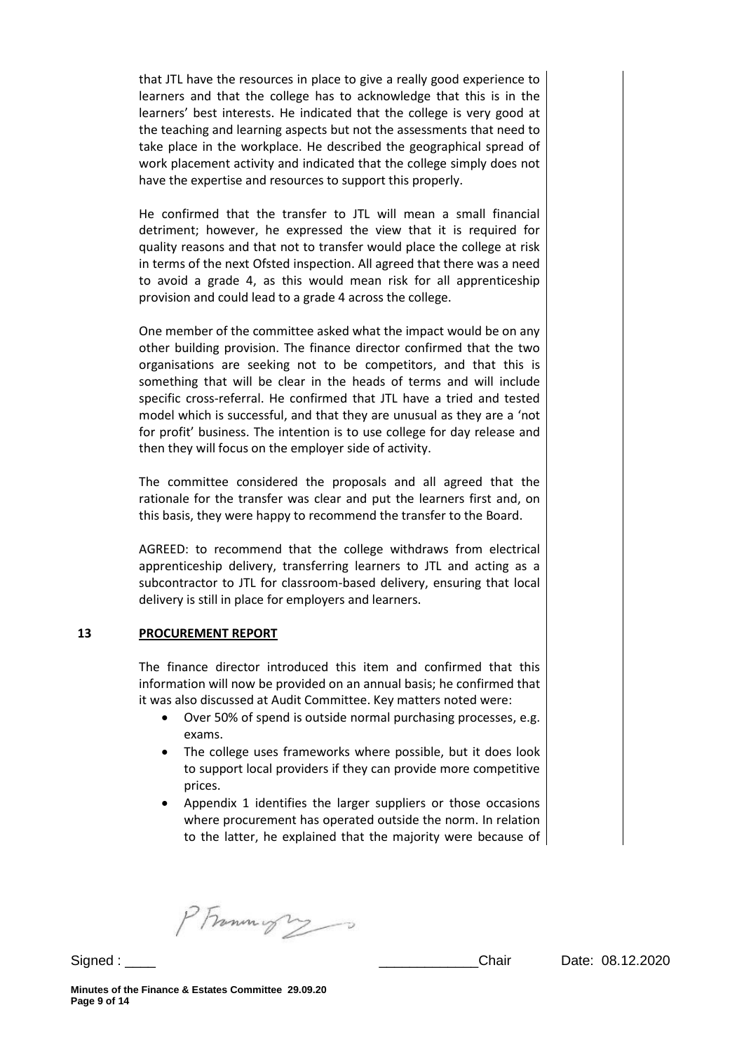that JTL have the resources in place to give a really good experience to learners and that the college has to acknowledge that this is in the learners' best interests. He indicated that the college is very good at the teaching and learning aspects but not the assessments that need to take place in the workplace. He described the geographical spread of work placement activity and indicated that the college simply does not have the expertise and resources to support this properly.

He confirmed that the transfer to JTL will mean a small financial detriment; however, he expressed the view that it is required for quality reasons and that not to transfer would place the college at risk in terms of the next Ofsted inspection. All agreed that there was a need to avoid a grade 4, as this would mean risk for all apprenticeship provision and could lead to a grade 4 across the college.

One member of the committee asked what the impact would be on any other building provision. The finance director confirmed that the two organisations are seeking not to be competitors, and that this is something that will be clear in the heads of terms and will include specific cross-referral. He confirmed that JTL have a tried and tested model which is successful, and that they are unusual as they are a 'not for profit' business. The intention is to use college for day release and then they will focus on the employer side of activity.

The committee considered the proposals and all agreed that the rationale for the transfer was clear and put the learners first and, on this basis, they were happy to recommend the transfer to the Board.

AGREED: to recommend that the college withdraws from electrical apprenticeship delivery, transferring learners to JTL and acting as a subcontractor to JTL for classroom-based delivery, ensuring that local delivery is still in place for employers and learners.

## **13 PROCUREMENT REPORT**

The finance director introduced this item and confirmed that this information will now be provided on an annual basis; he confirmed that it was also discussed at Audit Committee. Key matters noted were:

- Over 50% of spend is outside normal purchasing processes, e.g. exams.
- The college uses frameworks where possible, but it does look to support local providers if they can provide more competitive prices.
- Appendix 1 identifies the larger suppliers or those occasions where procurement has operated outside the norm. In relation to the latter, he explained that the majority were because of

PFrommigry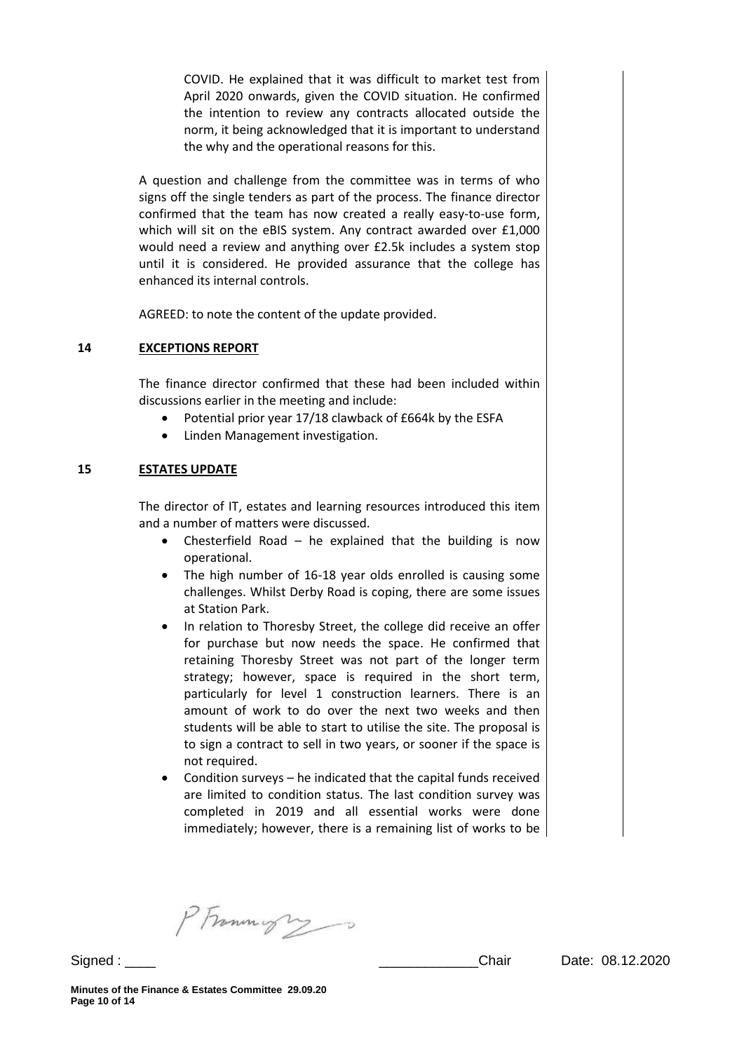COVID. He explained that it was difficult to market test from April 2020 onwards, given the COVID situation. He confirmed the intention to review any contracts allocated outside the norm, it being acknowledged that it is important to understand the why and the operational reasons for this.

A question and challenge from the committee was in terms of who signs off the single tenders as part of the process. The finance director confirmed that the team has now created a really easy-to-use form, which will sit on the eBIS system. Any contract awarded over £1,000 would need a review and anything over £2.5k includes a system stop until it is considered. He provided assurance that the college has enhanced its internal controls.

AGREED: to note the content of the update provided.

## **14 EXCEPTIONS REPORT**

The finance director confirmed that these had been included within discussions earlier in the meeting and include:

- Potential prior year 17/18 clawback of £664k by the ESFA
- Linden Management investigation.

## **15 ESTATES UPDATE**

The director of IT, estates and learning resources introduced this item and a number of matters were discussed.

- Chesterfield Road he explained that the building is now operational.
- The high number of 16-18 year olds enrolled is causing some challenges. Whilst Derby Road is coping, there are some issues at Station Park.
- In relation to Thoresby Street, the college did receive an offer for purchase but now needs the space. He confirmed that retaining Thoresby Street was not part of the longer term strategy; however, space is required in the short term, particularly for level 1 construction learners. There is an amount of work to do over the next two weeks and then students will be able to start to utilise the site. The proposal is to sign a contract to sell in two years, or sooner if the space is not required.
- Condition surveys he indicated that the capital funds received are limited to condition status. The last condition survey was completed in 2019 and all essential works were done immediately; however, there is a remaining list of works to be

PFrommigry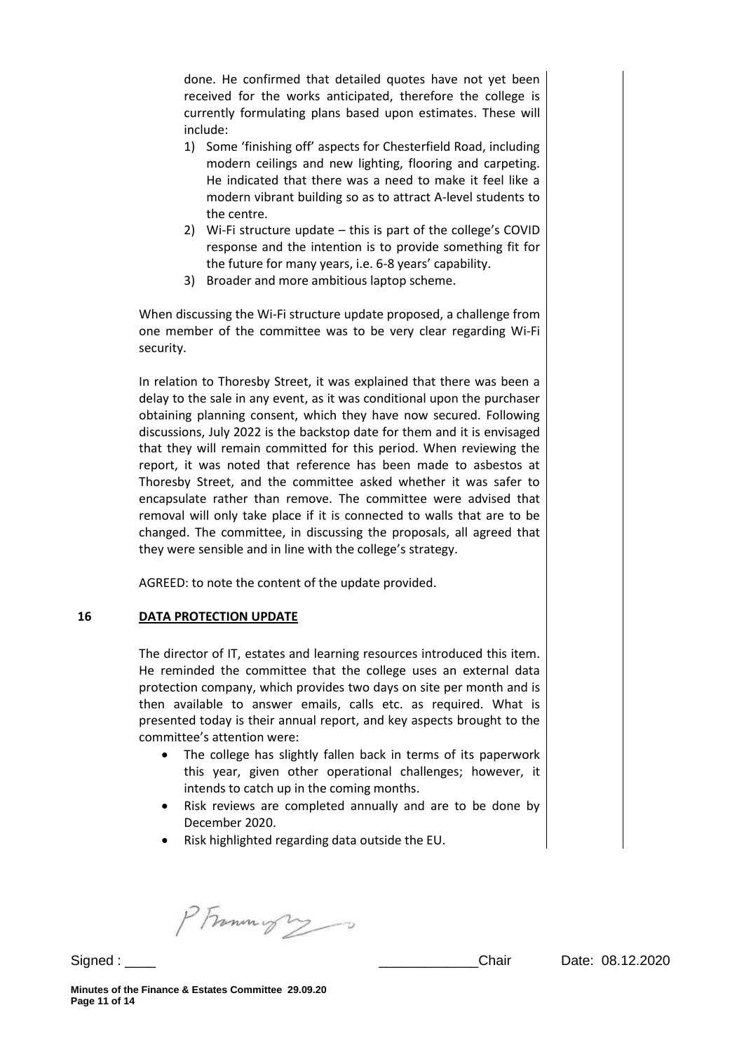done. He confirmed that detailed quotes have not yet been received for the works anticipated, therefore the college is currently formulating plans based upon estimates. These will include:

- 1) Some 'finishing off' aspects for Chesterfield Road, including modern ceilings and new lighting, flooring and carpeting. He indicated that there was a need to make it feel like a modern vibrant building so as to attract A-level students to the centre.
- 2) Wi-Fi structure update this is part of the college's COVID response and the intention is to provide something fit for the future for many years, i.e. 6-8 years' capability.
- 3) Broader and more ambitious laptop scheme.

When discussing the Wi-Fi structure update proposed, a challenge from one member of the committee was to be very clear regarding Wi-Fi security.

In relation to Thoresby Street, it was explained that there was been a delay to the sale in any event, as it was conditional upon the purchaser obtaining planning consent, which they have now secured. Following discussions, July 2022 is the backstop date for them and it is envisaged that they will remain committed for this period. When reviewing the report, it was noted that reference has been made to asbestos at Thoresby Street, and the committee asked whether it was safer to encapsulate rather than remove. The committee were advised that removal will only take place if it is connected to walls that are to be changed. The committee, in discussing the proposals, all agreed that they were sensible and in line with the college's strategy.

AGREED: to note the content of the update provided.

## **16 DATA PROTECTION UPDATE**

The director of IT, estates and learning resources introduced this item. He reminded the committee that the college uses an external data protection company, which provides two days on site per month and is then available to answer emails, calls etc. as required. What is presented today is their annual report, and key aspects brought to the committee's attention were:

- The college has slightly fallen back in terms of its paperwork this year, given other operational challenges; however, it intends to catch up in the coming months.
- Risk reviews are completed annually and are to be done by December 2020.
- Risk highlighted regarding data outside the EU.

PFrammight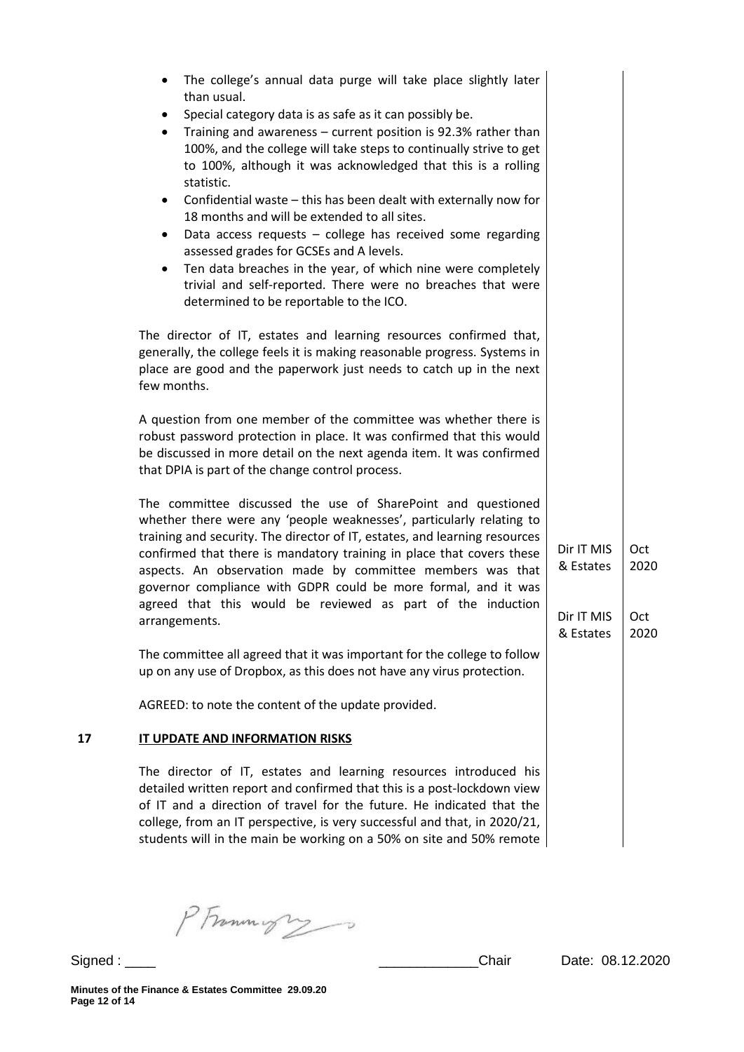| than usual.<br>Special category data is as safe as it can possibly be.<br>٠<br>Training and awareness - current position is 92.3% rather than<br>$\bullet$<br>100%, and the college will take steps to continually strive to get<br>to 100%, although it was acknowledged that this is a rolling<br>statistic.<br>Confidential waste - this has been dealt with externally now for<br>$\bullet$<br>18 months and will be extended to all sites.<br>Data access requests - college has received some regarding<br>٠<br>assessed grades for GCSEs and A levels.<br>Ten data breaches in the year, of which nine were completely<br>$\bullet$<br>trivial and self-reported. There were no breaches that were<br>determined to be reportable to the ICO.<br>The director of IT, estates and learning resources confirmed that,<br>generally, the college feels it is making reasonable progress. Systems in<br>place are good and the paperwork just needs to catch up in the next<br>few months.<br>A question from one member of the committee was whether there is<br>robust password protection in place. It was confirmed that this would<br>be discussed in more detail on the next agenda item. It was confirmed<br>that DPIA is part of the change control process.<br>The committee discussed the use of SharePoint and questioned<br>whether there were any 'people weaknesses', particularly relating to<br>training and security. The director of IT, estates, and learning resources<br>Dir IT MIS<br>Oct<br>confirmed that there is mandatory training in place that covers these<br>& Estates<br>2020<br>aspects. An observation made by committee members was that<br>governor compliance with GDPR could be more formal, and it was<br>agreed that this would be reviewed as part of the induction<br>Dir IT MIS<br>Oct<br>arrangements.<br>& Estates<br>2020<br>The committee all agreed that it was important for the college to follow<br>up on any use of Dropbox, as this does not have any virus protection.<br>AGREED: to note the content of the update provided.<br>IT UPDATE AND INFORMATION RISKS<br>The director of IT, estates and learning resources introduced his<br>detailed written report and confirmed that this is a post-lockdown view<br>of IT and a direction of travel for the future. He indicated that the<br>college, from an IT perspective, is very successful and that, in 2020/21,<br>students will in the main be working on a 50% on site and 50% remote |    | The college's annual data purge will take place slightly later |  |
|---------------------------------------------------------------------------------------------------------------------------------------------------------------------------------------------------------------------------------------------------------------------------------------------------------------------------------------------------------------------------------------------------------------------------------------------------------------------------------------------------------------------------------------------------------------------------------------------------------------------------------------------------------------------------------------------------------------------------------------------------------------------------------------------------------------------------------------------------------------------------------------------------------------------------------------------------------------------------------------------------------------------------------------------------------------------------------------------------------------------------------------------------------------------------------------------------------------------------------------------------------------------------------------------------------------------------------------------------------------------------------------------------------------------------------------------------------------------------------------------------------------------------------------------------------------------------------------------------------------------------------------------------------------------------------------------------------------------------------------------------------------------------------------------------------------------------------------------------------------------------------------------------------------------------------------------------------------------------------------------------------------------------------------------------------------------------------------------------------------------------------------------------------------------------------------------------------------------------------------------------------------------------------------------------------------------------------------------------------------------------------------------------------------------------------------------------------------------------------------------------------|----|----------------------------------------------------------------|--|
|                                                                                                                                                                                                                                                                                                                                                                                                                                                                                                                                                                                                                                                                                                                                                                                                                                                                                                                                                                                                                                                                                                                                                                                                                                                                                                                                                                                                                                                                                                                                                                                                                                                                                                                                                                                                                                                                                                                                                                                                                                                                                                                                                                                                                                                                                                                                                                                                                                                                                                         |    |                                                                |  |
|                                                                                                                                                                                                                                                                                                                                                                                                                                                                                                                                                                                                                                                                                                                                                                                                                                                                                                                                                                                                                                                                                                                                                                                                                                                                                                                                                                                                                                                                                                                                                                                                                                                                                                                                                                                                                                                                                                                                                                                                                                                                                                                                                                                                                                                                                                                                                                                                                                                                                                         |    |                                                                |  |
|                                                                                                                                                                                                                                                                                                                                                                                                                                                                                                                                                                                                                                                                                                                                                                                                                                                                                                                                                                                                                                                                                                                                                                                                                                                                                                                                                                                                                                                                                                                                                                                                                                                                                                                                                                                                                                                                                                                                                                                                                                                                                                                                                                                                                                                                                                                                                                                                                                                                                                         |    |                                                                |  |
|                                                                                                                                                                                                                                                                                                                                                                                                                                                                                                                                                                                                                                                                                                                                                                                                                                                                                                                                                                                                                                                                                                                                                                                                                                                                                                                                                                                                                                                                                                                                                                                                                                                                                                                                                                                                                                                                                                                                                                                                                                                                                                                                                                                                                                                                                                                                                                                                                                                                                                         |    |                                                                |  |
|                                                                                                                                                                                                                                                                                                                                                                                                                                                                                                                                                                                                                                                                                                                                                                                                                                                                                                                                                                                                                                                                                                                                                                                                                                                                                                                                                                                                                                                                                                                                                                                                                                                                                                                                                                                                                                                                                                                                                                                                                                                                                                                                                                                                                                                                                                                                                                                                                                                                                                         |    |                                                                |  |
|                                                                                                                                                                                                                                                                                                                                                                                                                                                                                                                                                                                                                                                                                                                                                                                                                                                                                                                                                                                                                                                                                                                                                                                                                                                                                                                                                                                                                                                                                                                                                                                                                                                                                                                                                                                                                                                                                                                                                                                                                                                                                                                                                                                                                                                                                                                                                                                                                                                                                                         |    |                                                                |  |
|                                                                                                                                                                                                                                                                                                                                                                                                                                                                                                                                                                                                                                                                                                                                                                                                                                                                                                                                                                                                                                                                                                                                                                                                                                                                                                                                                                                                                                                                                                                                                                                                                                                                                                                                                                                                                                                                                                                                                                                                                                                                                                                                                                                                                                                                                                                                                                                                                                                                                                         | 17 |                                                                |  |
|                                                                                                                                                                                                                                                                                                                                                                                                                                                                                                                                                                                                                                                                                                                                                                                                                                                                                                                                                                                                                                                                                                                                                                                                                                                                                                                                                                                                                                                                                                                                                                                                                                                                                                                                                                                                                                                                                                                                                                                                                                                                                                                                                                                                                                                                                                                                                                                                                                                                                                         |    |                                                                |  |

PFrammigra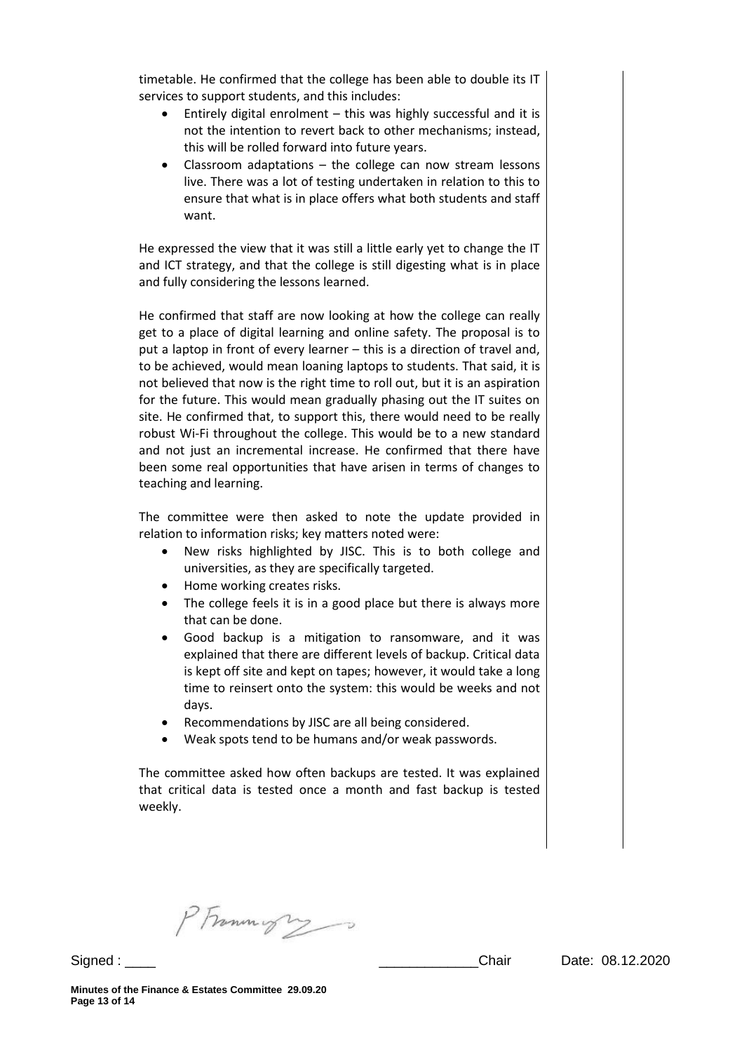timetable. He confirmed that the college has been able to double its IT services to support students, and this includes:

- Entirely digital enrolment this was highly successful and it is not the intention to revert back to other mechanisms; instead, this will be rolled forward into future years.
- Classroom adaptations the college can now stream lessons live. There was a lot of testing undertaken in relation to this to ensure that what is in place offers what both students and staff want.

He expressed the view that it was still a little early yet to change the IT and ICT strategy, and that the college is still digesting what is in place and fully considering the lessons learned.

He confirmed that staff are now looking at how the college can really get to a place of digital learning and online safety. The proposal is to put a laptop in front of every learner – this is a direction of travel and, to be achieved, would mean loaning laptops to students. That said, it is not believed that now is the right time to roll out, but it is an aspiration for the future. This would mean gradually phasing out the IT suites on site. He confirmed that, to support this, there would need to be really robust Wi-Fi throughout the college. This would be to a new standard and not just an incremental increase. He confirmed that there have been some real opportunities that have arisen in terms of changes to teaching and learning.

The committee were then asked to note the update provided in relation to information risks; key matters noted were:

- New risks highlighted by JISC. This is to both college and universities, as they are specifically targeted.
- Home working creates risks.
- The college feels it is in a good place but there is always more that can be done.
- Good backup is a mitigation to ransomware, and it was explained that there are different levels of backup. Critical data is kept off site and kept on tapes; however, it would take a long time to reinsert onto the system: this would be weeks and not days.
- Recommendations by JISC are all being considered.
- Weak spots tend to be humans and/or weak passwords.

The committee asked how often backups are tested. It was explained that critical data is tested once a month and fast backup is tested weekly.

PFrammight